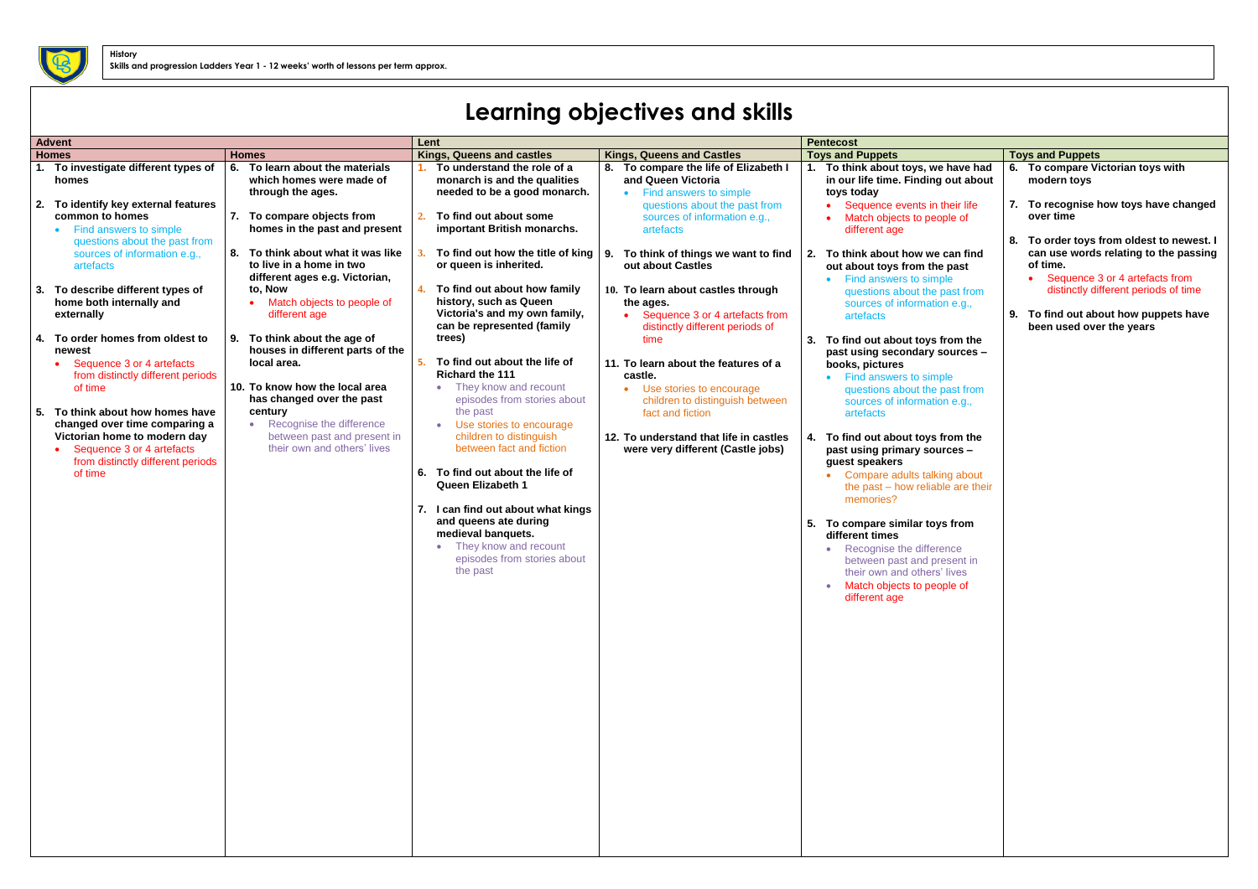## **Learning objectives and skills**

|              | <b>Advent</b>                                                                                                                   |                                                                                                  |                                                                                                                             |                                                                                                      |                                                                                                                                              |                                                                                                                                     |
|--------------|---------------------------------------------------------------------------------------------------------------------------------|--------------------------------------------------------------------------------------------------|-----------------------------------------------------------------------------------------------------------------------------|------------------------------------------------------------------------------------------------------|----------------------------------------------------------------------------------------------------------------------------------------------|-------------------------------------------------------------------------------------------------------------------------------------|
|              |                                                                                                                                 |                                                                                                  | Lent                                                                                                                        |                                                                                                      | <b>Pentecost</b>                                                                                                                             |                                                                                                                                     |
| <b>Homes</b> |                                                                                                                                 | <b>Homes</b>                                                                                     | <b>Kings, Queens and castles</b>                                                                                            | <b>Kings, Queens and Castles</b>                                                                     | <b>Toys and Puppets</b>                                                                                                                      | <b>Toys and Puppets</b>                                                                                                             |
|              | 1. To investigate different types of<br>homes                                                                                   | 6. To learn about the materials<br>which homes were made of<br>through the ages.                 | To understand the role of a<br>monarch is and the qualities<br>needed to be a good monarch.                                 | 8. To compare the life of Elizabeth I<br>and Queen Victoria<br>Find answers to simple                | 1. To think about toys, we have had<br>in our life time. Finding out about<br>toys today                                                     | To compare Victorian toys with<br>6.<br>modern toys                                                                                 |
|              | To identify key external features<br>common to homes<br>Find answers to simple                                                  | 7. To compare objects from<br>homes in the past and present                                      | To find out about some<br>2.<br>important British monarchs.                                                                 | questions about the past from<br>sources of information e.g.,<br>artefacts                           | Sequence events in their life<br>Match objects to people of<br>different age                                                                 | To recognise how toys have changed<br>over time                                                                                     |
|              | questions about the past from<br>sources of information e.g.,<br>artefacts                                                      | 8. To think about what it was like<br>to live in a home in two<br>different ages e.g. Victorian, | or queen is inherited.                                                                                                      | To find out how the title of king $\vert$ 9. To think of things we want to find<br>out about Castles | To think about how we can find<br>2.<br>out about toys from the past<br>Find answers to simple                                               | 8.<br>To order toys from oldest to newest. I<br>can use words relating to the passing<br>of time.<br>Sequence 3 or 4 artefacts from |
|              | To describe different types of<br>home both internally and<br>externally                                                        | to, Now<br>• Match objects to people of<br>different age                                         | To find out about how family<br>4.<br>history, such as Queen<br>Victoria's and my own family,<br>can be represented (family | 10. To learn about castles through<br>the ages.<br>Sequence 3 or 4 artefacts from                    | questions about the past from<br>sources of information e.g.,<br>artefacts                                                                   | distinctly different periods of time<br>9. To find out about how puppets have<br>been used over the years                           |
|              | To order homes from oldest to<br>newest<br>Sequence 3 or 4 artefacts                                                            | 9. To think about the age of<br>houses in different parts of the<br>local area.                  | trees)<br>To find out about the life of<br>5.                                                                               | distinctly different periods of<br>time<br>11. To learn about the features of a                      | 3. To find out about toys from the<br>past using secondary sources -<br>books, pictures                                                      |                                                                                                                                     |
|              | from distinctly different periods<br>of time<br>To think about how homes have                                                   | 10. To know how the local area<br>has changed over the past<br>century                           | <b>Richard the 111</b><br>They know and recount<br>episodes from stories about<br>the past                                  | castle.<br>Use stories to encourage<br>children to distinguish between<br>fact and fiction           | • Find answers to simple<br>questions about the past from<br>sources of information e.g.,<br>artefacts                                       |                                                                                                                                     |
|              | changed over time comparing a<br>Victorian home to modern day<br>Sequence 3 or 4 artefacts<br>from distinctly different periods | • Recognise the difference<br>between past and present in<br>their own and others' lives         | Use stories to encourage<br>children to distinguish<br>between fact and fiction                                             | 12. To understand that life in castles<br>were very different (Castle jobs)                          | To find out about toys from the<br>past using primary sources -<br>guest speakers                                                            |                                                                                                                                     |
|              | of time                                                                                                                         |                                                                                                  | 6. To find out about the life of<br><b>Queen Elizabeth 1</b><br>I can find out about what kings<br>7.                       |                                                                                                      | Compare adults talking about<br>the past – how reliable are their<br>memories?                                                               |                                                                                                                                     |
|              |                                                                                                                                 |                                                                                                  | and queens ate during<br>medieval banquets.<br>They know and recount<br>episodes from stories about<br>the past             |                                                                                                      | 5. To compare similar toys from<br>different times<br>Recognise the difference<br>between past and present in<br>their own and others' lives |                                                                                                                                     |
|              |                                                                                                                                 |                                                                                                  |                                                                                                                             |                                                                                                      | Match objects to people of<br>different age                                                                                                  |                                                                                                                                     |
|              |                                                                                                                                 |                                                                                                  |                                                                                                                             |                                                                                                      |                                                                                                                                              |                                                                                                                                     |
|              |                                                                                                                                 |                                                                                                  |                                                                                                                             |                                                                                                      |                                                                                                                                              |                                                                                                                                     |
|              |                                                                                                                                 |                                                                                                  |                                                                                                                             |                                                                                                      |                                                                                                                                              |                                                                                                                                     |
|              |                                                                                                                                 |                                                                                                  |                                                                                                                             |                                                                                                      |                                                                                                                                              |                                                                                                                                     |
|              |                                                                                                                                 |                                                                                                  |                                                                                                                             |                                                                                                      |                                                                                                                                              |                                                                                                                                     |



**History**